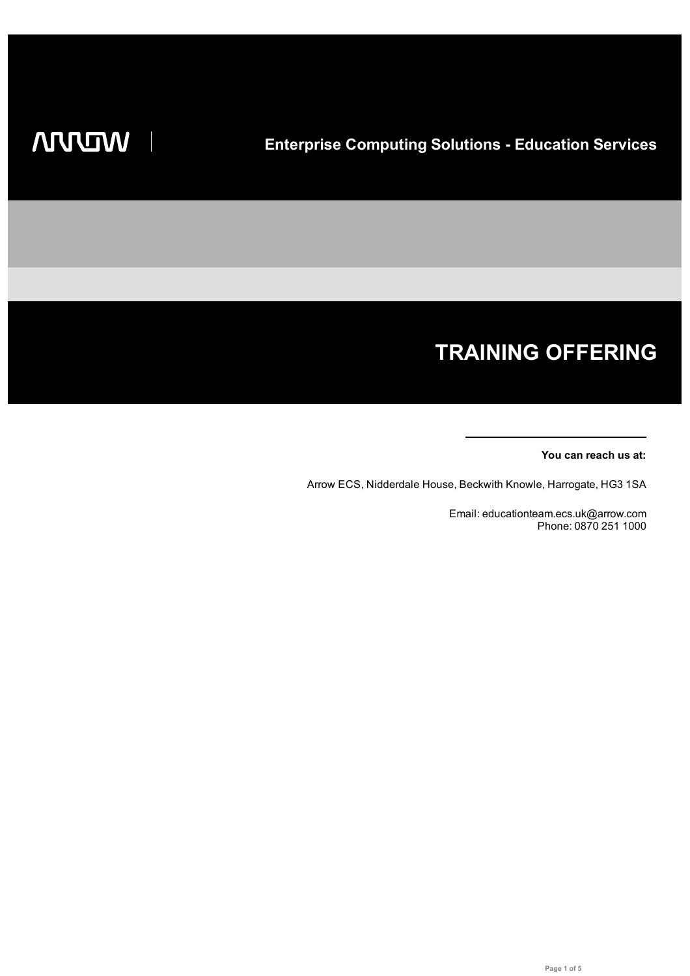# **TRAINING OFFERING**

#### **You can reach us at:**

Arrow ECS, Nidderdale House, Beckwith Knowle, Harrogate, HG3 1SA

Email: educationteam.ecs.uk@arrow.com Phone: 0870 251 1000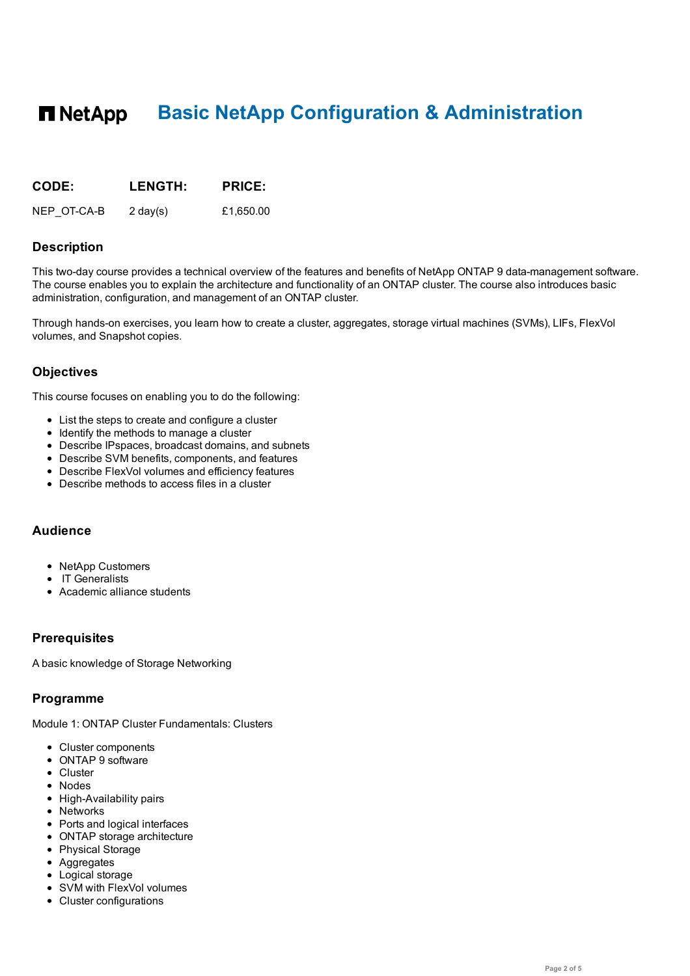#### **n** NetApp **Basic NetApp Configuration & Administration**

| <b>CODE:</b> | <b>LENGTH:</b>     | <b>PRICE:</b> |
|--------------|--------------------|---------------|
| NEP OT-CA-B  | $2 \text{ day}(s)$ | £1,650.00     |

### **Description**

This two-day course provides a technical overview of the features and benefits of NetApp ONTAP 9 data-management software. The course enables you to explain the architecture and functionality of an ONTAP cluster. The course also introduces basic administration, configuration, and management of an ONTAP cluster.

Through hands-on exercises, you learn how to create a cluster, aggregates, storage virtual machines (SVMs), LIFs, FlexVol volumes, and Snapshot copies.

## **Objectives**

This course focuses on enabling you to do the following:

- List the steps to create and configure a cluster
- Identify the methods to manage a cluster
- Describe IPspaces, broadcast domains, and subnets
- Describe SVM benefits, components, and features
- Describe FlexVol volumes and efficiency features
- Describe methods to access files in a cluster

## **Audience**

- NetApp Customers
- IT Generalists
- Academic alliance students

## **Prerequisites**

A basic knowledge of Storage Networking

### **Programme**

Module 1: ONTAP Cluster Fundamentals: Clusters

- Cluster components
- ONTAP 9 software
- Cluster
- Nodes
- High-Availability pairs
- Networks
- Ports and logical interfaces
- ONTAP storage architecture
- Physical Storage
- Aggregates
- Logical storage
- SVM with FlexVol volumes
- Cluster configurations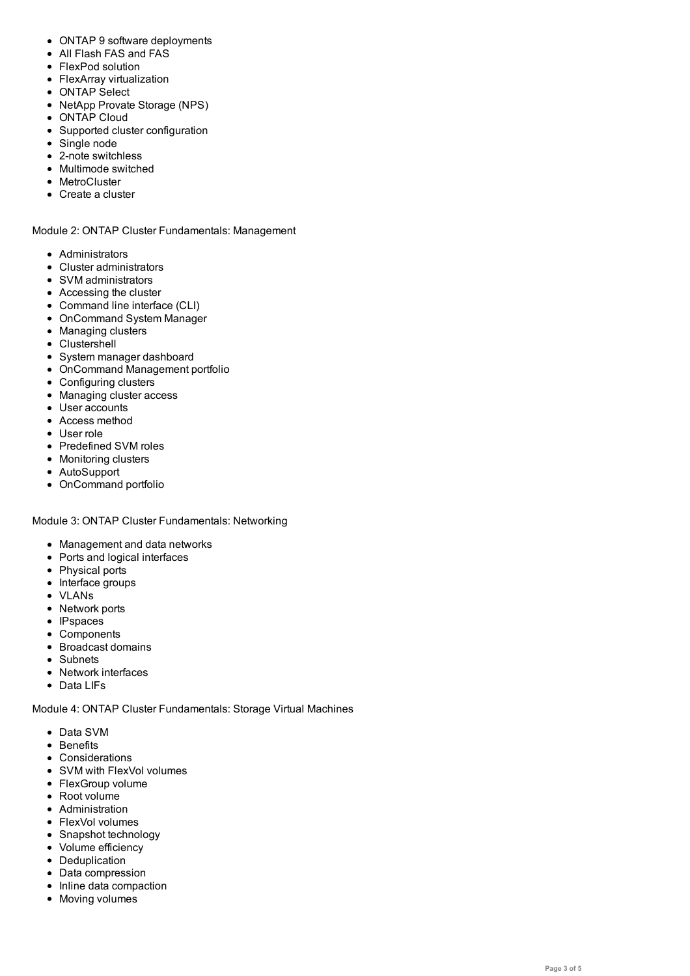- FlexPod solution
- FlexArray virtualization
- ONTAP Select
- NetApp Provate Storage (NPS)
- ONTAP Cloud
- Supported cluster configuration
- Single node
- 2-note switchless
- Multimode switched
- MetroCluster
- Create a cluster

Module 2: ONTAP Cluster Fundamentals: Management

- Administrators
- Cluster administrators
- SVM administrators
- Accessing the cluster
- Command line interface (CLI)
- OnCommand System Manager
- Managing clusters
- Clustershell
- System manager dashboard
- OnCommand Management portfolio
- Configuring clusters
- Managing cluster access
- User accounts
- Access method
- User role
- Predefined SVM roles
- Monitoring clusters
- AutoSupport
- OnCommand portfolio

Module 3: ONTAP Cluster Fundamentals: Networking

- Management and data networks
- Ports and logical interfaces
- Physical ports
- Interface groups
- VLANs
- Network ports
- IPspaces
- Components
- Broadcast domains
- Subnets
- Network interfaces
- Data LIFs

Module 4: ONTAP Cluster Fundamentals: Storage Virtual Machines

- Data SVM
- Benefits
- Considerations
- SVM with FlexVol volumes
- FlexGroup volume
- Root volume
- Administration FlexVol volumes
- Snapshot technology
- Volume efficiency
- Deduplication
- Data compression
- Inline data compaction
- Moving volumes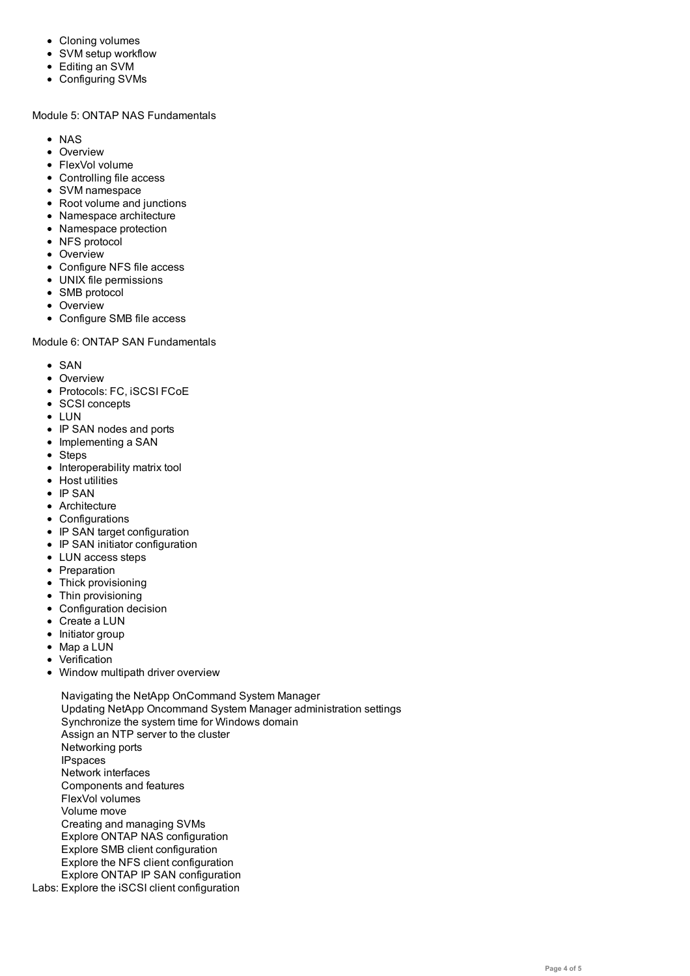- SVM setup workflow Editing an SVM
- Configuring SVMs

#### Module 5: ONTAP NAS Fundamentals

- NAS
- Overview
- FlexVol volume
- Controlling file access
- SVM namespace
- Root volume and junctions
- Namespace architecture
- Namespace protection
- NFS protocol
- Overview
- Configure NFS file access
- UNIX file permissions
- SMB protocol
- Overview
- Configure SMB file access

#### Module 6: ONTAP SAN Fundamentals

- SAN
- Overview
- Protocols: FC, iSCSI FCoE
- SCSI concepts
- LUN
- IP SAN nodes and ports
- Implementing a SAN
- Steps
- Interoperability matrix tool
- Host utilities
- $\cdot$  IP SAN
- Architecture
- Configurations
- IP SAN target configuration
- IP SAN initiator configuration
- LUN access steps
- Preparation
- Thick provisioning
- Thin provisioning
- Configuration decision
- Create a LUN
- Initiator group
- Map a LUN
- Verification
- Window multipath driver overview
- Labs: Explore the iSCSI client configurationNavigating the NetApp OnCommand System Manager Updating NetApp Oncommand System Manager administration settings Synchronize the system time for Windows domain Assign an NTP server to the cluster Networking ports IPspaces Network interfaces Components and features FlexVol volumes Volume move Creating and managing SVMs Explore ONTAP NAS configuration Explore SMB client configuration Explore the NFS client configuration Explore ONTAP IP SAN configuration